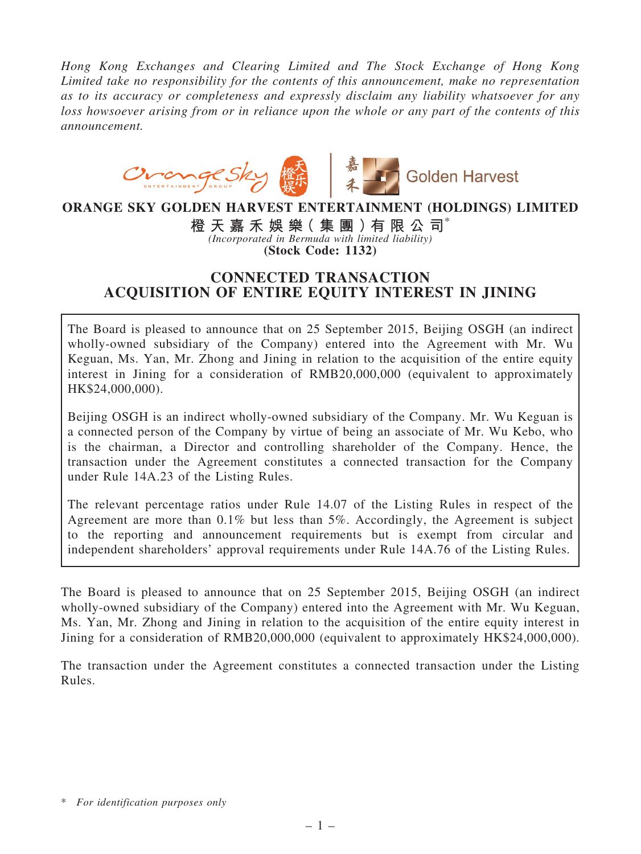Hong Kong Exchanges and Clearing Limited and The Stock Exchange of Hong Kong Limited take no responsibility for the contents of this announcement, make no representation as to its accuracy or completeness and expressly disclaim any liability whatsoever for any loss howsoever arising from or in reliance upon the whole or any part of the contents of this announcement.



## ORANGE SKY GOLDEN HARVEST ENTERTAINMENT (HOLDINGS) LIMITED

橙 天 嘉 禾 娛 樂( 集 團 )有 限 公 司\* (Incorporated in Bermuda with limited liability) (Stock Code: 1132)

## CONNECTED TRANSACTION ACQUISITION OF ENTIRE EQUITY INTEREST IN JINING

The Board is pleased to announce that on 25 September 2015, Beijing OSGH (an indirect wholly-owned subsidiary of the Company) entered into the Agreement with Mr. Wu Keguan, Ms. Yan, Mr. Zhong and Jining in relation to the acquisition of the entire equity interest in Jining for a consideration of RMB20,000,000 (equivalent to approximately HK\$24,000,000).

Beijing OSGH is an indirect wholly-owned subsidiary of the Company. Mr. Wu Keguan is a connected person of the Company by virtue of being an associate of Mr. Wu Kebo, who is the chairman, a Director and controlling shareholder of the Company. Hence, the transaction under the Agreement constitutes a connected transaction for the Company under Rule 14A.23 of the Listing Rules.

The relevant percentage ratios under Rule 14.07 of the Listing Rules in respect of the Agreement are more than 0.1% but less than 5%. Accordingly, the Agreement is subject to the reporting and announcement requirements but is exempt from circular and independent shareholders' approval requirements under Rule 14A.76 of the Listing Rules.

The Board is pleased to announce that on 25 September 2015, Beijing OSGH (an indirect wholly-owned subsidiary of the Company) entered into the Agreement with Mr. Wu Keguan, Ms. Yan, Mr. Zhong and Jining in relation to the acquisition of the entire equity interest in Jining for a consideration of RMB20,000,000 (equivalent to approximately HK\$24,000,000).

The transaction under the Agreement constitutes a connected transaction under the Listing Rules.

<sup>\*</sup> For identification purposes only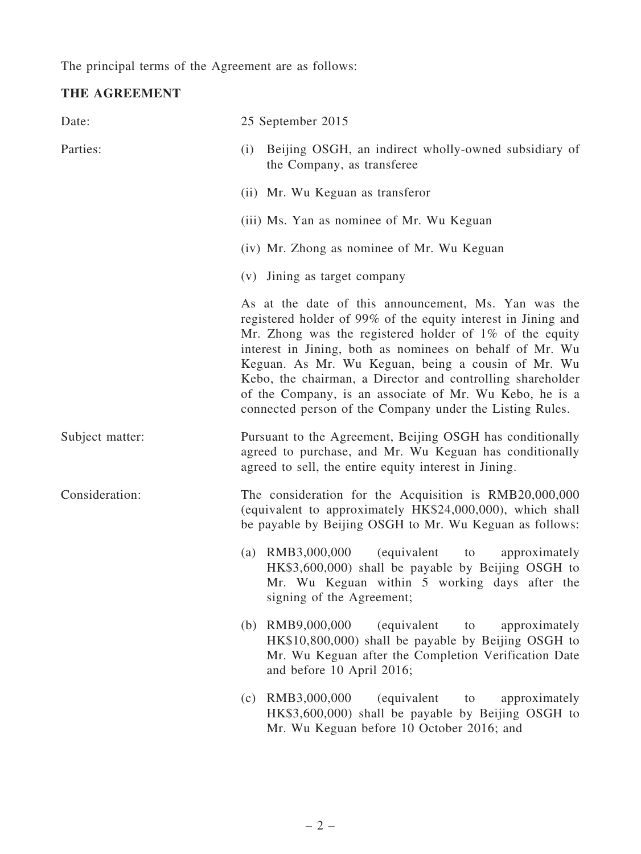The principal terms of the Agreement are as follows:

# THE AGREEMENT

| Date:           | 25 September 2015                                                                                                                                                                                                                                                                                                                                                                                                                                                                          |
|-----------------|--------------------------------------------------------------------------------------------------------------------------------------------------------------------------------------------------------------------------------------------------------------------------------------------------------------------------------------------------------------------------------------------------------------------------------------------------------------------------------------------|
| Parties:        | Beijing OSGH, an indirect wholly-owned subsidiary of<br>(i)<br>the Company, as transferee                                                                                                                                                                                                                                                                                                                                                                                                  |
|                 | (ii) Mr. Wu Keguan as transferor                                                                                                                                                                                                                                                                                                                                                                                                                                                           |
|                 | (iii) Ms. Yan as nominee of Mr. Wu Keguan                                                                                                                                                                                                                                                                                                                                                                                                                                                  |
|                 | (iv) Mr. Zhong as nominee of Mr. Wu Keguan                                                                                                                                                                                                                                                                                                                                                                                                                                                 |
|                 | (v) Jining as target company                                                                                                                                                                                                                                                                                                                                                                                                                                                               |
|                 | As at the date of this announcement, Ms. Yan was the<br>registered holder of 99% of the equity interest in Jining and<br>Mr. Zhong was the registered holder of $1\%$ of the equity<br>interest in Jining, both as nominees on behalf of Mr. Wu<br>Keguan. As Mr. Wu Keguan, being a cousin of Mr. Wu<br>Kebo, the chairman, a Director and controlling shareholder<br>of the Company, is an associate of Mr. Wu Kebo, he is a<br>connected person of the Company under the Listing Rules. |
| Subject matter: | Pursuant to the Agreement, Beijing OSGH has conditionally<br>agreed to purchase, and Mr. Wu Keguan has conditionally<br>agreed to sell, the entire equity interest in Jining.                                                                                                                                                                                                                                                                                                              |
| Consideration:  | The consideration for the Acquisition is RMB20,000,000<br>(equivalent to approximately HK\$24,000,000), which shall<br>be payable by Beijing OSGH to Mr. Wu Keguan as follows:                                                                                                                                                                                                                                                                                                             |
|                 | (a) $RMB3,000,000$<br>(equivalent to<br>approximately<br>HK\$3,600,000) shall be payable by Beijing OSGH to<br>Mr. Wu Keguan within 5 working days after the<br>signing of the Agreement;                                                                                                                                                                                                                                                                                                  |
|                 | (b) $RMB9,000,000$<br>(equivalent<br>approximately<br>to<br>HK\$10,800,000) shall be payable by Beijing OSGH to<br>Mr. Wu Keguan after the Completion Verification Date<br>and before 10 April 2016;                                                                                                                                                                                                                                                                                       |
|                 | (c) $RMB3,000,000$<br>(equivalent<br>approximately<br>to<br>HK\$3,600,000) shall be payable by Beijing OSGH to<br>Mr. Wu Keguan before 10 October 2016; and                                                                                                                                                                                                                                                                                                                                |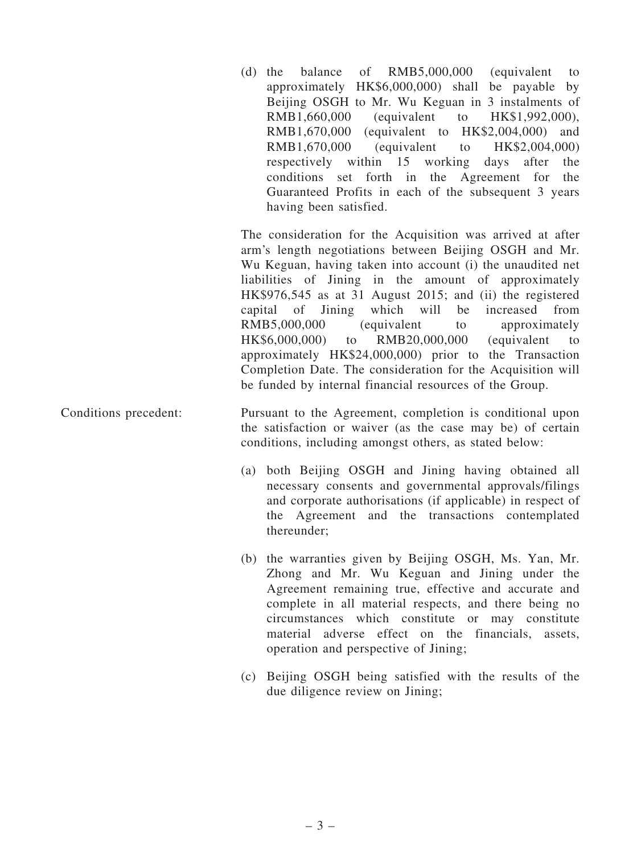(d) the balance of RMB5,000,000 (equivalent to approximately HK\$6,000,000) shall be payable by Beijing OSGH to Mr. Wu Keguan in 3 instalments of RMB1,660,000 (equivalent to HK\$1,992,000), RMB1,670,000 (equivalent to HK\$2,004,000) and RMB1,670,000 (equivalent to HK\$2,004,000) respectively within 15 working days after the conditions set forth in the Agreement for the Guaranteed Profits in each of the subsequent 3 years having been satisfied.

The consideration for the Acquisition was arrived at after arm's length negotiations between Beijing OSGH and Mr. Wu Keguan, having taken into account (i) the unaudited net liabilities of Jining in the amount of approximately HK\$976,545 as at 31 August 2015; and (ii) the registered capital of Jining which will be increased from RMB5,000,000 (equivalent to approximately HK\$6,000,000) to RMB20,000,000 (equivalent to approximately HK\$24,000,000) prior to the Transaction Completion Date. The consideration for the Acquisition will be funded by internal financial resources of the Group.

- Conditions precedent: Pursuant to the Agreement, completion is conditional upon the satisfaction or waiver (as the case may be) of certain conditions, including amongst others, as stated below:
	- (a) both Beijing OSGH and Jining having obtained all necessary consents and governmental approvals/filings and corporate authorisations (if applicable) in respect of the Agreement and the transactions contemplated thereunder;
	- (b) the warranties given by Beijing OSGH, Ms. Yan, Mr. Zhong and Mr. Wu Keguan and Jining under the Agreement remaining true, effective and accurate and complete in all material respects, and there being no circumstances which constitute or may constitute material adverse effect on the financials, assets, operation and perspective of Jining;
	- (c) Beijing OSGH being satisfied with the results of the due diligence review on Jining;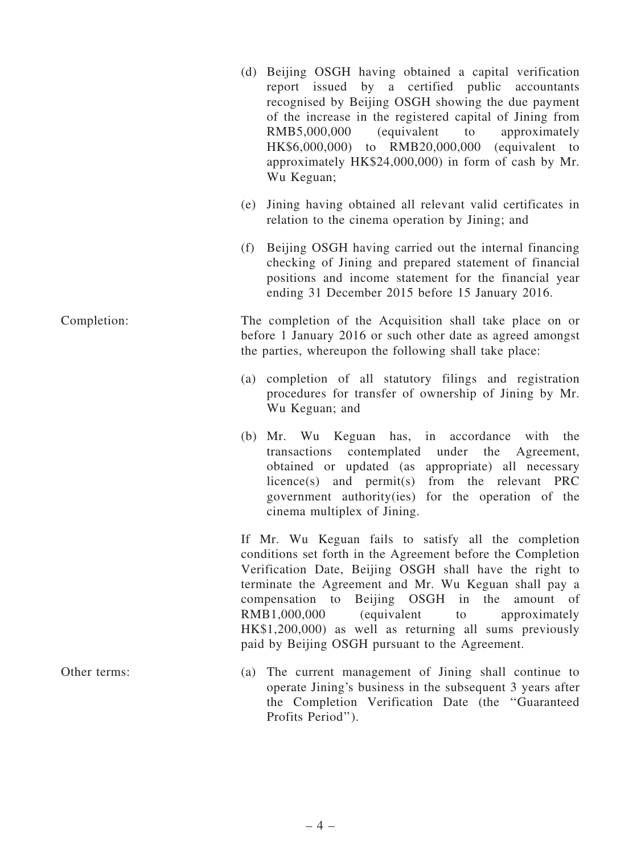|              | (d) Beijing OSGH having obtained a capital verification<br>report issued by a certified public accountants<br>recognised by Beijing OSGH showing the due payment<br>of the increase in the registered capital of Jining from<br>RMB5,000,000<br><i>(equivalent</i> )<br>to<br>approximately<br>HK\$6,000,000) to RMB20,000,000 (equivalent to<br>approximately HK\$24,000,000) in form of cash by Mr.<br>Wu Keguan;                                                |
|--------------|--------------------------------------------------------------------------------------------------------------------------------------------------------------------------------------------------------------------------------------------------------------------------------------------------------------------------------------------------------------------------------------------------------------------------------------------------------------------|
|              | (e) Jining having obtained all relevant valid certificates in<br>relation to the cinema operation by Jining; and                                                                                                                                                                                                                                                                                                                                                   |
|              | (f) Beijing OSGH having carried out the internal financing<br>checking of Jining and prepared statement of financial<br>positions and income statement for the financial year<br>ending 31 December 2015 before 15 January 2016.                                                                                                                                                                                                                                   |
| Completion:  | The completion of the Acquisition shall take place on or<br>before 1 January 2016 or such other date as agreed amongst<br>the parties, whereupon the following shall take place:                                                                                                                                                                                                                                                                                   |
|              | (a) completion of all statutory filings and registration<br>procedures for transfer of ownership of Jining by Mr.<br>Wu Keguan; and                                                                                                                                                                                                                                                                                                                                |
|              | (b) Mr. Wu Keguan has, in accordance with<br>the<br>transactions contemplated under the Agreement,<br>obtained or updated (as appropriate) all necessary<br>licence(s) and permit(s) from the relevant PRC<br>government authority(ies) for the operation of the<br>cinema multiplex of Jining.                                                                                                                                                                    |
|              | If Mr. Wu Keguan fails to satisfy all the completion<br>conditions set forth in the Agreement before the Completion<br>Verification Date, Beijing OSGH shall have the right to<br>terminate the Agreement and Mr. Wu Keguan shall pay a<br>compensation to<br>Beijing OSGH in the<br>amount of<br>RMB1,000,000<br>(equivalent<br>approximately<br>to<br>HK\$1,200,000) as well as returning all sums previously<br>paid by Beijing OSGH pursuant to the Agreement. |
| Other terms: | The current management of Jining shall continue to<br>(a)<br>operate Jining's business in the subsequent 3 years after<br>the Completion Verification Date (the "Guaranteed<br>Profits Period").                                                                                                                                                                                                                                                                   |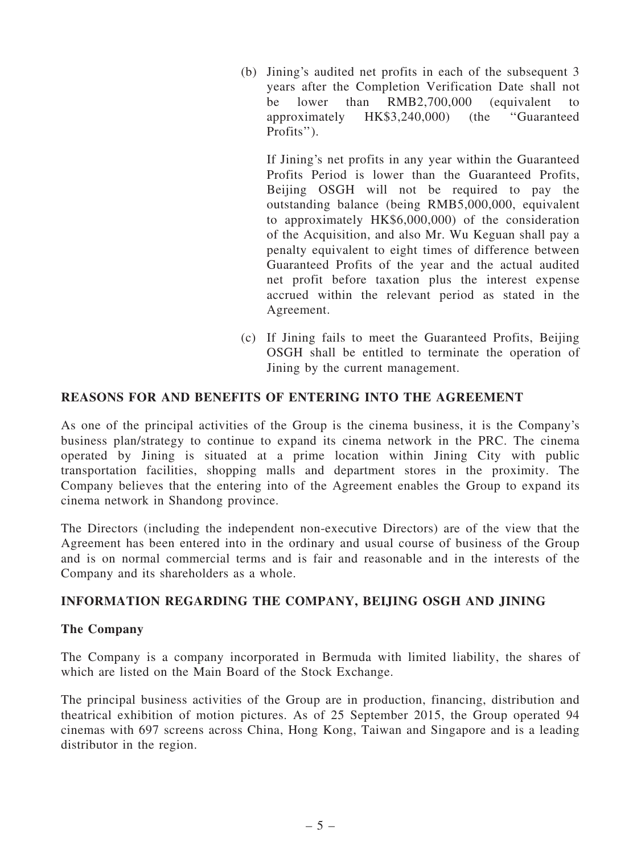(b) Jining's audited net profits in each of the subsequent 3 years after the Completion Verification Date shall not be lower than RMB2,700,000 (equivalent to approximately HK\$3,240,000) (the ''Guaranteed Profits'').

If Jining's net profits in any year within the Guaranteed Profits Period is lower than the Guaranteed Profits, Beiling OSGH will not be required to pay the outstanding balance (being RMB5,000,000, equivalent to approximately HK\$6,000,000) of the consideration of the Acquisition, and also Mr. Wu Keguan shall pay a penalty equivalent to eight times of difference between Guaranteed Profits of the year and the actual audited net profit before taxation plus the interest expense accrued within the relevant period as stated in the Agreement.

(c) If Jining fails to meet the Guaranteed Profits, Beijing OSGH shall be entitled to terminate the operation of Jining by the current management.

## REASONS FOR AND BENEFITS OF ENTERING INTO THE AGREEMENT

As one of the principal activities of the Group is the cinema business, it is the Company's business plan/strategy to continue to expand its cinema network in the PRC. The cinema operated by Jining is situated at a prime location within Jining City with public transportation facilities, shopping malls and department stores in the proximity. The Company believes that the entering into of the Agreement enables the Group to expand its cinema network in Shandong province.

The Directors (including the independent non-executive Directors) are of the view that the Agreement has been entered into in the ordinary and usual course of business of the Group and is on normal commercial terms and is fair and reasonable and in the interests of the Company and its shareholders as a whole.

#### INFORMATION REGARDING THE COMPANY, BEIJING OSGH AND JINING

#### The Company

The Company is a company incorporated in Bermuda with limited liability, the shares of which are listed on the Main Board of the Stock Exchange.

The principal business activities of the Group are in production, financing, distribution and theatrical exhibition of motion pictures. As of 25 September 2015, the Group operated 94 cinemas with 697 screens across China, Hong Kong, Taiwan and Singapore and is a leading distributor in the region.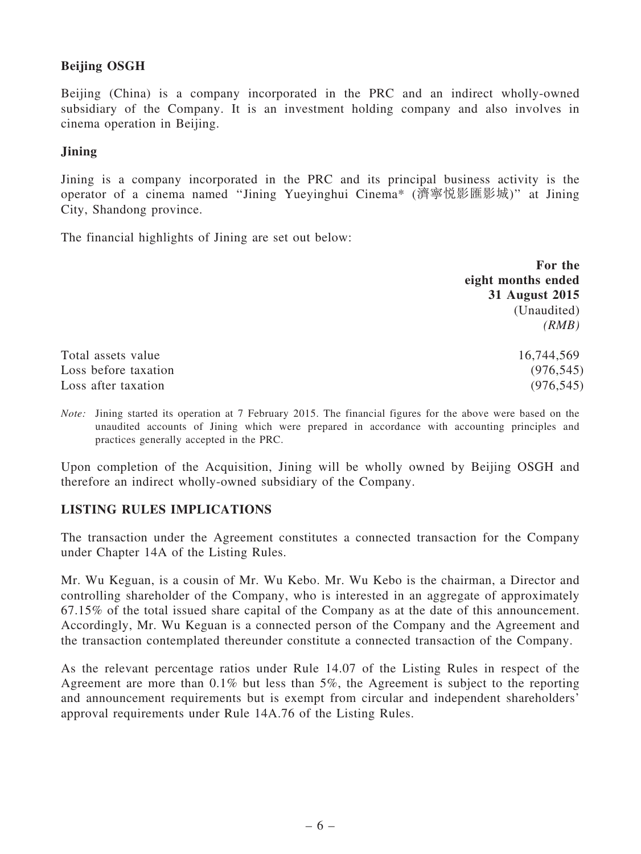## Beijing OSGH

Beijing (China) is a company incorporated in the PRC and an indirect wholly-owned subsidiary of the Company. It is an investment holding company and also involves in cinema operation in Beijing.

#### Jining

Jining is a company incorporated in the PRC and its principal business activity is the operator of a cinema named ''Jining Yueyinghui Cinema\* (濟寧悅影匯影城)'' at Jining City, Shandong province.

The financial highlights of Jining are set out below:

|                      | For the            |
|----------------------|--------------------|
|                      | eight months ended |
|                      | 31 August 2015     |
|                      | (Unaudited)        |
|                      | (RMB)              |
| Total assets value   | 16,744,569         |
| Loss before taxation | (976, 545)         |
| Loss after taxation  | (976, 545)         |

Note: Jining started its operation at 7 February 2015. The financial figures for the above were based on the unaudited accounts of Jining which were prepared in accordance with accounting principles and practices generally accepted in the PRC.

Upon completion of the Acquisition, Jining will be wholly owned by Beijing OSGH and therefore an indirect wholly-owned subsidiary of the Company.

## LISTING RULES IMPLICATIONS

The transaction under the Agreement constitutes a connected transaction for the Company under Chapter 14A of the Listing Rules.

Mr. Wu Keguan, is a cousin of Mr. Wu Kebo. Mr. Wu Kebo is the chairman, a Director and controlling shareholder of the Company, who is interested in an aggregate of approximately 67.15% of the total issued share capital of the Company as at the date of this announcement. Accordingly, Mr. Wu Keguan is a connected person of the Company and the Agreement and the transaction contemplated thereunder constitute a connected transaction of the Company.

As the relevant percentage ratios under Rule 14.07 of the Listing Rules in respect of the Agreement are more than 0.1% but less than 5%, the Agreement is subject to the reporting and announcement requirements but is exempt from circular and independent shareholders' approval requirements under Rule 14A.76 of the Listing Rules.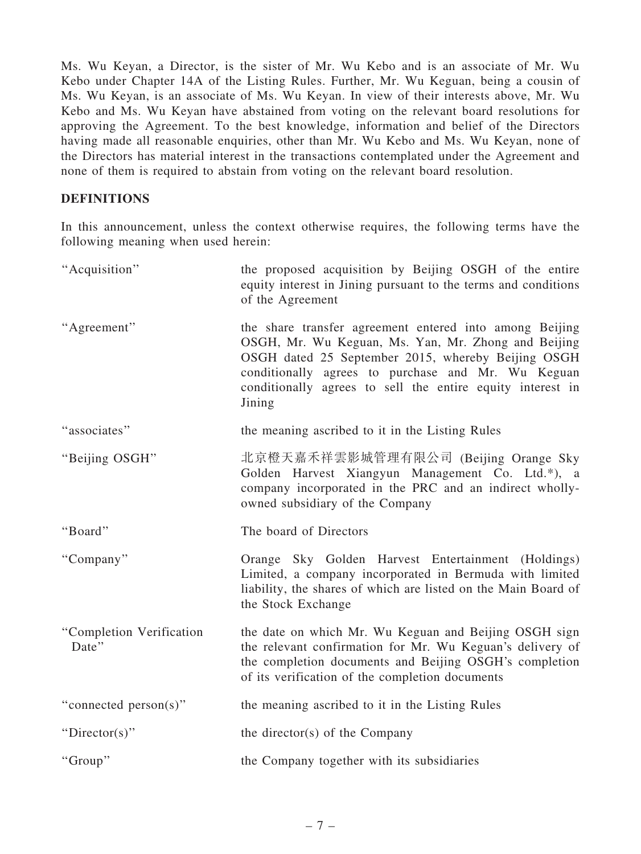Ms. Wu Keyan, a Director, is the sister of Mr. Wu Kebo and is an associate of Mr. Wu Kebo under Chapter 14A of the Listing Rules. Further, Mr. Wu Keguan, being a cousin of Ms. Wu Keyan, is an associate of Ms. Wu Keyan. In view of their interests above, Mr. Wu Kebo and Ms. Wu Keyan have abstained from voting on the relevant board resolutions for approving the Agreement. To the best knowledge, information and belief of the Directors having made all reasonable enquiries, other than Mr. Wu Kebo and Ms. Wu Keyan, none of the Directors has material interest in the transactions contemplated under the Agreement and none of them is required to abstain from voting on the relevant board resolution.

#### DEFINITIONS

In this announcement, unless the context otherwise requires, the following terms have the following meaning when used herein:

| "Acquisition"                     | the proposed acquisition by Beijing OSGH of the entire<br>equity interest in Jining pursuant to the terms and conditions<br>of the Agreement                                                                                                                                                       |
|-----------------------------------|----------------------------------------------------------------------------------------------------------------------------------------------------------------------------------------------------------------------------------------------------------------------------------------------------|
| "Agreement"                       | the share transfer agreement entered into among Beijing<br>OSGH, Mr. Wu Keguan, Ms. Yan, Mr. Zhong and Beijing<br>OSGH dated 25 September 2015, whereby Beijing OSGH<br>conditionally agrees to purchase and Mr. Wu Keguan<br>conditionally agrees to sell the entire equity interest in<br>Jining |
| "associates"                      | the meaning ascribed to it in the Listing Rules                                                                                                                                                                                                                                                    |
| "Beijing OSGH"                    | 北京橙天嘉禾祥雲影城管理有限公司 (Beijing Orange Sky<br>Golden Harvest Xiangyun Management Co. Ltd.*), a<br>company incorporated in the PRC and an indirect wholly-<br>owned subsidiary of the Company                                                                                                             |
|                                   |                                                                                                                                                                                                                                                                                                    |
| "Board"                           | The board of Directors                                                                                                                                                                                                                                                                             |
| "Company"                         | Orange Sky Golden Harvest Entertainment (Holdings)<br>Limited, a company incorporated in Bermuda with limited<br>liability, the shares of which are listed on the Main Board of<br>the Stock Exchange                                                                                              |
| "Completion Verification<br>Date" | the date on which Mr. Wu Keguan and Beijing OSGH sign<br>the relevant confirmation for Mr. Wu Keguan's delivery of<br>the completion documents and Beijing OSGH's completion<br>of its verification of the completion documents                                                                    |
| "connected person(s)"             | the meaning ascribed to it in the Listing Rules                                                                                                                                                                                                                                                    |
| "Director(s)"                     | the director(s) of the Company                                                                                                                                                                                                                                                                     |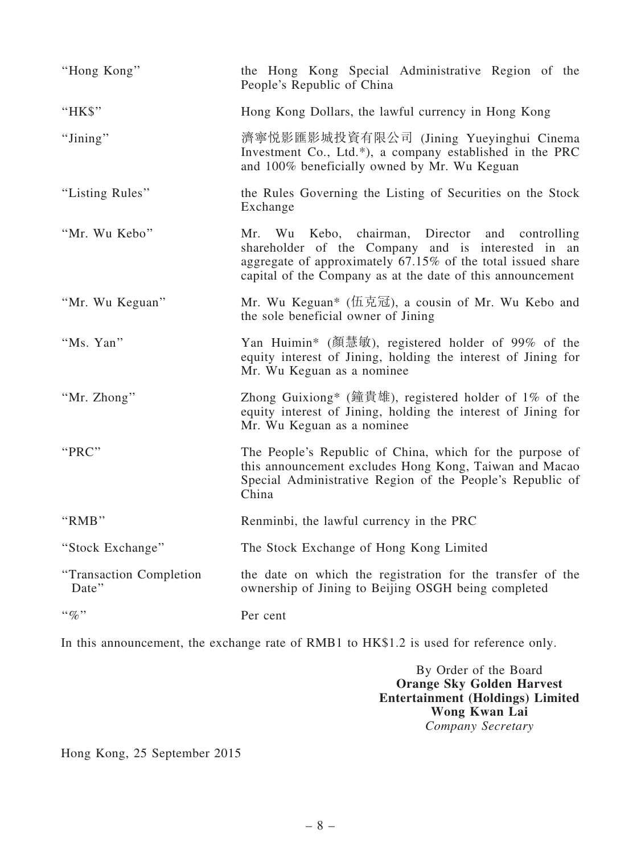| "Hong Kong"                               | the Hong Kong Special Administrative Region of the<br>People's Republic of China                                                                                                                                                   |
|-------------------------------------------|------------------------------------------------------------------------------------------------------------------------------------------------------------------------------------------------------------------------------------|
| "HK\$"                                    | Hong Kong Dollars, the lawful currency in Hong Kong                                                                                                                                                                                |
| "Jining"                                  | 濟寧悦影匯影城投資有限公司 (Jining Yueyinghui Cinema<br>Investment Co., Ltd.*), a company established in the PRC<br>and 100% beneficially owned by Mr. Wu Keguan                                                                                |
| "Listing Rules"                           | the Rules Governing the Listing of Securities on the Stock<br>Exchange                                                                                                                                                             |
| "Mr. Wu Kebo"                             | Mr. Wu Kebo, chairman, Director and controlling<br>shareholder of the Company and is interested in an<br>aggregate of approximately 67.15% of the total issued share<br>capital of the Company as at the date of this announcement |
| "Mr. Wu Keguan"                           | Mr. Wu Keguan* (伍克冠), a cousin of Mr. Wu Kebo and<br>the sole beneficial owner of Jining                                                                                                                                           |
| "Ms. Yan"                                 | Yan Huimin* (顏慧敏), registered holder of 99% of the<br>equity interest of Jining, holding the interest of Jining for<br>Mr. Wu Keguan as a nominee                                                                                  |
| "Mr. Zhong"                               | Zhong Guixiong* (鐘貴雄), registered holder of $1\%$ of the<br>equity interest of Jining, holding the interest of Jining for<br>Mr. Wu Keguan as a nominee                                                                            |
| "PRC"                                     | The People's Republic of China, which for the purpose of<br>this announcement excludes Hong Kong, Taiwan and Macao<br>Special Administrative Region of the People's Republic of<br>China                                           |
| "RMB"                                     | Renminbi, the lawful currency in the PRC                                                                                                                                                                                           |
| "Stock Exchange"                          | The Stock Exchange of Hong Kong Limited                                                                                                                                                                                            |
| "Transaction Completion<br>Date"          | the date on which the registration for the transfer of the<br>ownership of Jining to Beijing OSGH being completed                                                                                                                  |
| $\cdot \cdot \mathcal{G}_{\mathcal{O}}$ " | Per cent                                                                                                                                                                                                                           |

In this announcement, the exchange rate of RMB1 to HK\$1.2 is used for reference only.

By Order of the Board Orange Sky Golden Harvest Entertainment (Holdings) Limited Wong Kwan Lai Company Secretary

Hong Kong, 25 September 2015